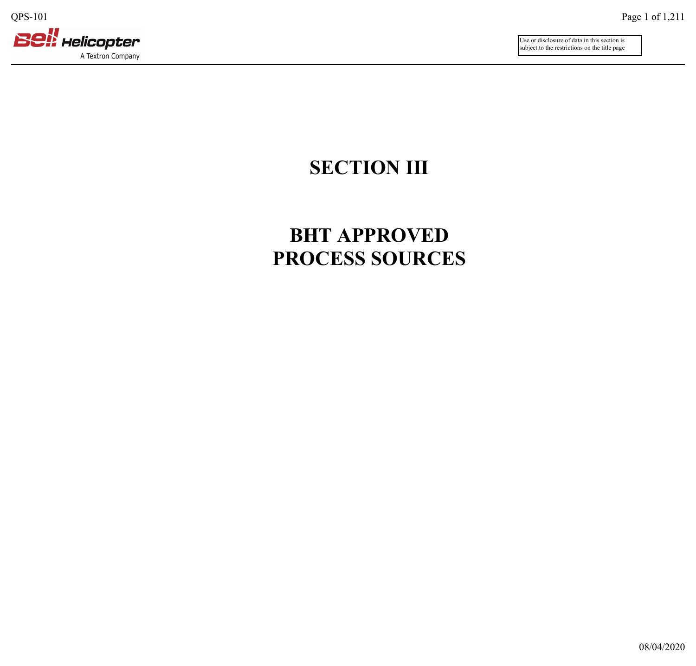

Use or disclosure of data in this section is subject to the restrictions on the title page

## **SECTION III**

## **BHT APPROVED PROCESS SOURCES**

08/04/2020